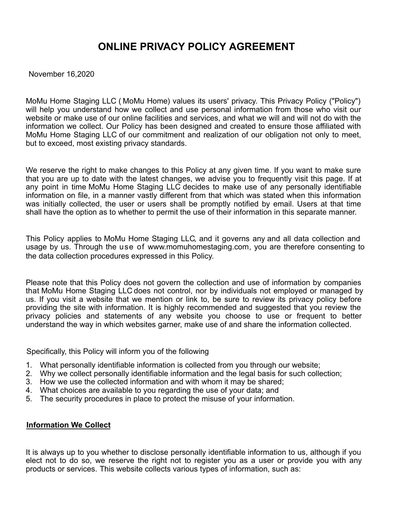# **ONLINE PRIVACY POLICY AGREEMENT**

November 16,2020

MoMu Home Staging LLC ( MoMu Home) values its users' privacy. This Privacy Policy ("Policy") will help you understand how we collect and use personal information from those who visit our website or make use of our online facilities and services, and what we will and will not do with the information we collect. Our Policy has been designed and created to ensure those affiliated with MoMu Home Staging LLC of our commitment and realization of our obligation not only to meet, but to exceed, most existing privacy standards.

We reserve the right to make changes to this Policy at any given time. If you want to make sure that you are up to date with the latest changes, we advise you to frequently visit this page. If at any point in time MoMu Home Staging LLC decides to make use of any personally identifiable information on file, in a manner vastly different from that which was stated when this information was initially collected, the user or users shall be promptly notified by email. Users at that time shall have the option as to whether to permit the use of their information in this separate manner.

This Policy applies to MoMu Home Staging LLC, and it governs any and all data collection and usage by us. Through the use of www.momuhomestaging.com, you are therefore consenting to the data collection procedures expressed in this Policy.

Please note that this Policy does not govern the collection and use of information by companies that MoMu Home Staging LLC does not control, nor by individuals not employed or managed by us. If you visit a website that we mention or link to, be sure to review its privacy policy before providing the site with information. It is highly recommended and suggested that you review the privacy policies and statements of any website you choose to use or frequent to better understand the way in which websites garner, make use of and share the information collected.

Specifically, this Policy will inform you of the following

- 1. What personally identifiable information is collected from you through our website;
- 2. Why we collect personally identifiable information and the legal basis for such collection;
- 3. How we use the collected information and with whom it may be shared;
- 4. What choices are available to you regarding the use of your data; and
- 5. The security procedures in place to protect the misuse of your information.

# **Information We Collect**

It is always up to you whether to disclose personally identifiable information to us, although if you elect not to do so, we reserve the right not to register you as a user or provide you with any products or services. This website collects various types of information, such as: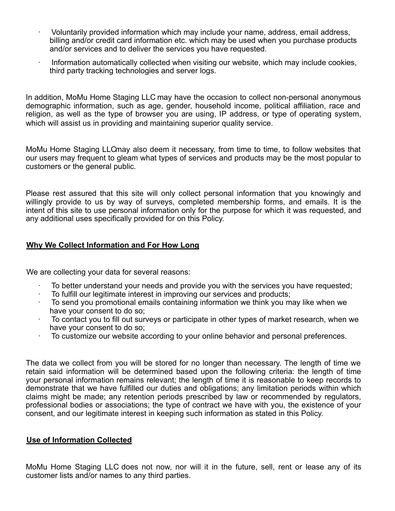- · Voluntarily provided information which may include your name, address, email address, billing and/or credit card information etc. which may be used when you purchase products and/or services and to deliver the services you have requested.
- · Information automatically collected when visiting our website, which may include cookies, third party tracking technologies and server logs.

In addition, MoMu Home Staging LLC may have the occasion to collect non-personal anonymous demographic information, such as age, gender, household income, political affiliation, race and religion, as well as the type of browser you are using, IP address, or type of operating system, which will assist us in providing and maintaining superior quality service.

MoMu Home Staging LLCmay also deem it necessary, from time to time, to follow websites that our users may frequent to gleam what types of services and products may be the most popular to customers or the general public.

Please rest assured that this site will only collect personal information that you knowingly and willingly provide to us by way of surveys, completed membership forms, and emails. It is the intent of this site to use personal information only for the purpose for which it was requested, and any additional uses specifically provided for on this Policy.

# **Why We Collect Information and For How Long**

We are collecting your data for several reasons:

- To better understand your needs and provide you with the services you have requested;
- · To fulfill our legitimate interest in improving our services and products;
- · To send you promotional emails containing information we think you may like when we have your consent to do so;
- · To contact you to fill out surveys or participate in other types of market research, when we have your consent to do so;
- · To customize our website according to your online behavior and personal preferences.

The data we collect from you will be stored for no longer than necessary. The length of time we retain said information will be determined based upon the following criteria: the length of time your personal information remains relevant; the length of time it is reasonable to keep records to demonstrate that we have fulfilled our duties and obligations; any limitation periods within which claims might be made; any retention periods prescribed by law or recommended by regulators, professional bodies or associations; the type of contract we have with you, the existence of your consent, and our legitimate interest in keeping such information as stated in this Policy.

#### **Use of Information Collected**

MoMu Home Staging LLC does not now, nor will it in the future, sell, rent or lease any of its customer lists and/or names to any third parties.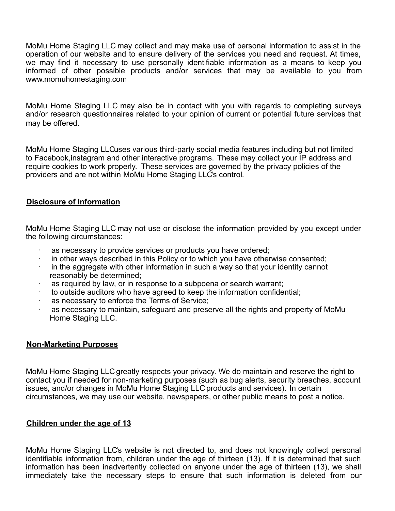MoMu Home Staging LLC may collect and may make use of personal information to assist in the operation of our website and to ensure delivery of the services you need and request. At times, we may find it necessary to use personally identifiable information as a means to keep you informed of other possible products and/or services that may be available to you from www.momuhomestaging.com

MoMu Home Staging LLC may also be in contact with you with regards to completing surveys and/or research questionnaires related to your opinion of current or potential future services that may be offered.

MoMu Home Staging LLCuses various third-party social media features including but not limited to Facebook,instagram and other interactive programs. These may collect your IP address and require cookies to work properly. These services are governed by the privacy policies of the providers and are not within MoMu Home Staging LLC's control.

# **Disclosure of Information**

MoMu Home Staging LLC may not use or disclose the information provided by you except under the following circumstances:

- as necessary to provide services or products you have ordered;
- · in other ways described in this Policy or to which you have otherwise consented;
- · in the aggregate with other information in such a way so that your identity cannot reasonably be determined;
- · as required by law, or in response to a subpoena or search warrant;
- · to outside auditors who have agreed to keep the information confidential;
- as necessary to enforce the Terms of Service;
- as necessary to maintain, safeguard and preserve all the rights and property of MoMu Home Staging LLC.

# **Non-Marketing Purposes**

MoMu Home Staging LLC greatly respects your privacy. We do maintain and reserve the right to contact you if needed for non-marketing purposes (such as bug alerts, security breaches, account issues, and/or changes in MoMu Home Staging LLC products and services). In certain circumstances, we may use our website, newspapers, or other public means to post a notice.

# **Children under the age of 13**

MoMu Home Staging LLC's website is not directed to, and does not knowingly collect personal identifiable information from, children under the age of thirteen (13). If it is determined that such information has been inadvertently collected on anyone under the age of thirteen (13), we shall immediately take the necessary steps to ensure that such information is deleted from our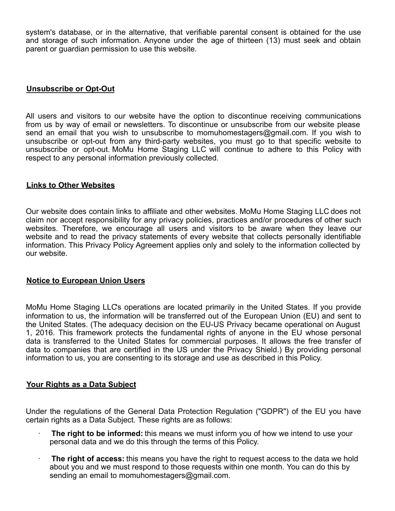system's database, or in the alternative, that verifiable parental consent is obtained for the use and storage of such information. Anyone under the age of thirteen (13) must seek and obtain parent or guardian permission to use this website.

# **Unsubscribe or Opt-Out**

All users and visitors to our website have the option to discontinue receiving communications from us by way of email or newsletters. To discontinue or unsubscribe from our website please send an email that you wish to unsubscribe to momuhomestagers@gmail.com. If you wish to unsubscribe or opt-out from any third-party websites, you must go to that specific website to unsubscribe or opt-out. MoMu Home Staging LLC will continue to adhere to this Policy with respect to any personal information previously collected.

### **Links to Other Websites**

Our website does contain links to affiliate and other websites. MoMu Home Staging LLC does not claim nor accept responsibility for any privacy policies, practices and/or procedures of other such websites. Therefore, we encourage all users and visitors to be aware when they leave our website and to read the privacy statements of every website that collects personally identifiable information. This Privacy Policy Agreement applies only and solely to the information collected by our website.

#### **Notice to European Union Users**

MoMu Home Staging LLC's operations are located primarily in the United States. If you provide information to us, the information will be transferred out of the European Union (EU) and sent to the United States. (The adequacy decision on the EU-US Privacy became operational on August 1, 2016. This framework protects the fundamental rights of anyone in the EU whose personal data is transferred to the United States for commercial purposes. It allows the free transfer of data to companies that are certified in the US under the Privacy Shield.) By providing personal information to us, you are consenting to its storage and use as described in this Policy.

#### **Your Rights as a Data Subject**

Under the regulations of the General Data Protection Regulation ("GDPR") of the EU you have certain rights as a Data Subject. These rights are as follows:

- · **The right to be informed:** this means we must inform you of how we intend to use your personal data and we do this through the terms of this Policy.
- · **The right of access:** this means you have the right to request access to the data we hold about you and we must respond to those requests within one month. You can do this by sending an email to momuhomestagers@gmail.com.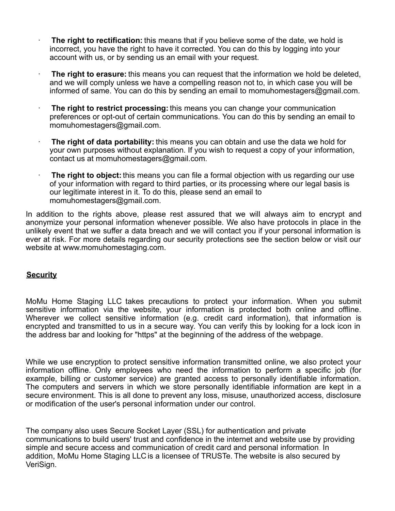- · **The right to rectification:** this means that if you believe some of the date, we hold is incorrect, you have the right to have it corrected. You can do this by logging into your account with us, or by sending us an email with your request.
- · **The right to erasure:** this means you can request that the information we hold be deleted, and we will comply unless we have a compelling reason not to, in which case you will be informed of same. You can do this by sending an email to momuhomestagers@gmail.com.
- · **The right to restrict processing:** this means you can change your communication preferences or opt-out of certain communications. You can do this by sending an email to momuhomestagers@gmail.com.
- · **The right of data portability:** this means you can obtain and use the data we hold for your own purposes without explanation. If you wish to request a copy of your information, contact us at momuhomestagers@gmail.com.
- · **The right to object:** this means you can file a formal objection with us regarding our use of your information with regard to third parties, or its processing where our legal basis is our legitimate interest in it. To do this, please send an email to momuhomestagers@gmail.com.

In addition to the rights above, please rest assured that we will always aim to encrypt and anonymize your personal information whenever possible. We also have protocols in place in the unlikely event that we suffer a data breach and we will contact you if your personal information is ever at risk. For more details regarding our security protections see the section below or visit our website at www.momuhomestaging.com.

# **Security**

MoMu Home Staging LLC takes precautions to protect your information. When you submit sensitive information via the website, your information is protected both online and offline. Wherever we collect sensitive information (e.g. credit card information), that information is encrypted and transmitted to us in a secure way. You can verify this by looking for a lock icon in the address bar and looking for "https" at the beginning of the address of the webpage.

While we use encryption to protect sensitive information transmitted online, we also protect your information offline. Only employees who need the information to perform a specific job (for example, billing or customer service) are granted access to personally identifiable information. The computers and servers in which we store personally identifiable information are kept in a secure environment. This is all done to prevent any loss, misuse, unauthorized access, disclosure or modification of the user's personal information under our control.

The company also uses Secure Socket Layer (SSL) for authentication and private communications to build users' trust and confidence in the internet and website use by providing simple and secure access and communication of credit card and personal information. In addition, MoMu Home Staging LLC is a licensee of TRUSTe. The website is also secured by VeriSign.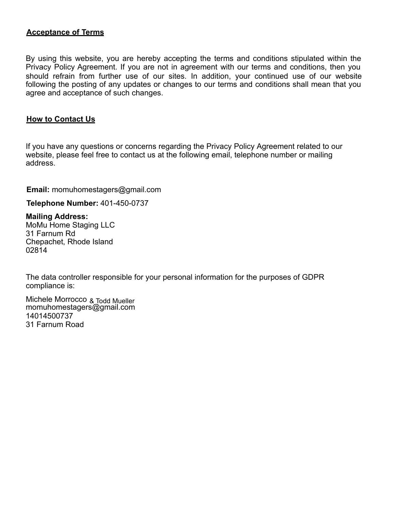# **Acceptance of Terms**

By using this website, you are hereby accepting the terms and conditions stipulated within the Privacy Policy Agreement. If you are not in agreement with our terms and conditions, then you should refrain from further use of our sites. In addition, your continued use of our website following the posting of any updates or changes to our terms and conditions shall mean that you agree and acceptance of such changes.

# **How to Contact Us**

If you have any questions or concerns regarding the Privacy Policy Agreement related to our website, please feel free to contact us at the following email, telephone number or mailing address.

**Email:** momuhomestagers@gmail.com

**Telephone Number:** 401-450-0737

#### **Mailing Address:**

MoMu Home Staging LLC 31 Farnum Rd Chepachet, Rhode Island 02814

The data controller responsible for your personal information for the purposes of GDPR compliance is:

momuhomestagers@gmail.com 14014500737 31 Farnum Road Michele Morrocco & Todd Mueller